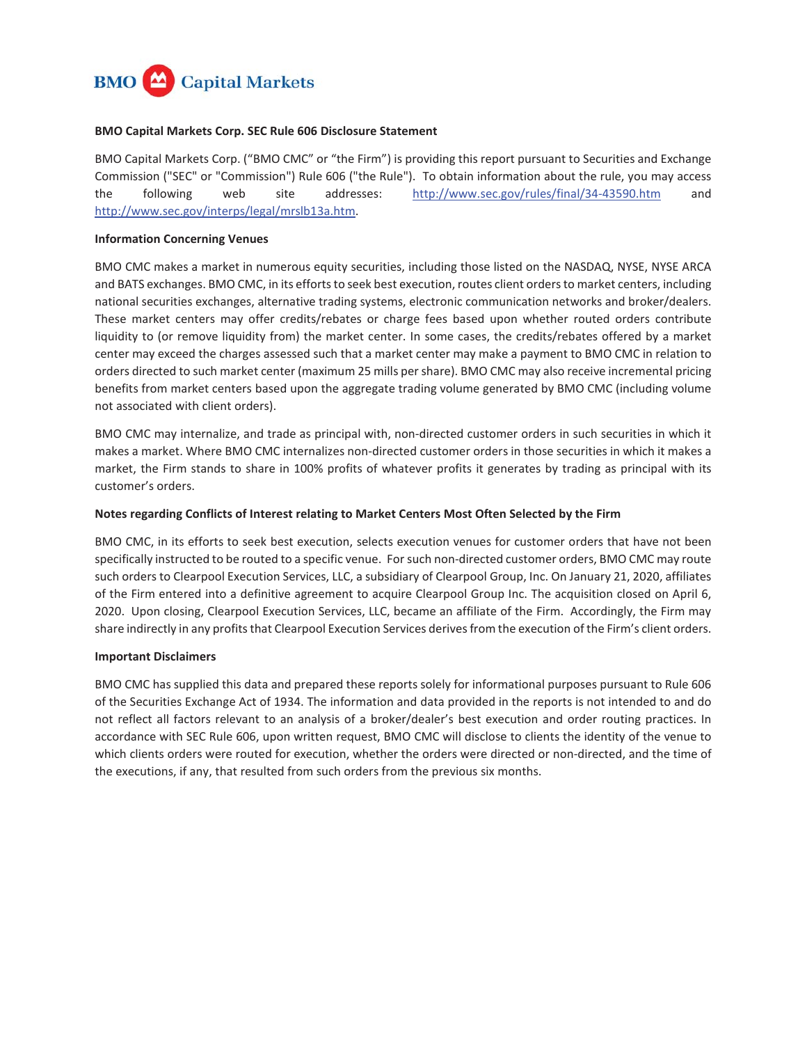

### **BMO Capital Markets Corp. SEC Rule 606 Disclosure Statement**

BMO Capital Markets Corp. ("BMO CMC" or "the Firm") is providing this report pursuant to Securities and Exchange Commission ("SEC" or "Commission") Rule 606 ("the Rule"). To obtain information about the rule, you may access the following web site addresses: <http://www.sec.gov/rules/final/34-43590.htm>and [http://www.sec.gov/interps/legal/mrslb13a.htm.](http://www.sec.gov/interps/legal/mrslb13a.htm)

### **Information Concerning Venues**

BMO CMC makes a market in numerous equity securities, including those listed on the NASDAQ, NYSE, NYSE ARCA and BATS exchanges. BMO CMC, in its efforts to seek best execution, routes client orders to market centers, including national securities exchanges, alternative trading systems, electronic communication networks and broker/dealers. These market centers may offer credits/rebates or charge fees based upon whether routed orders contribute liquidity to (or remove liquidity from) the market center. In some cases, the credits/rebates offered by a market center may exceed the charges assessed such that a market center may make a payment to BMO CMC in relation to orders directed to such market center (maximum 25 mills per share). BMO CMC may also receive incremental pricing benefits from market centers based upon the aggregate trading volume generated by BMO CMC (including volume not associated with client orders).

BMO CMC may internalize, and trade as principal with, non-directed customer orders in such securities in which it makes a market. Where BMO CMC internalizes non-directed customer orders in those securities in which it makes a market, the Firm stands to share in 100% profits of whatever profits it generates by trading as principal with its customer's orders.

### **Notes regarding Conflicts of Interest relating to Market Centers Most Often Selected by the Firm**

BMO CMC, in its efforts to seek best execution, selects execution venues for customer orders that have not been specifically instructed to be routed to a specific venue. For such non-directed customer orders, BMO CMC may route such orders to Clearpool Execution Services, LLC, a subsidiary of Clearpool Group, Inc. On January 21, 2020, affiliates of the Firm entered into a definitive agreement to acquire Clearpool Group Inc. The acquisition closed on April 6, 2020. Upon closing, Clearpool Execution Services, LLC, became an affiliate of the Firm. Accordingly, the Firm may share indirectly in any profits that Clearpool Execution Services derives from the execution of the Firm's client orders.

### **Important Disclaimers**

BMO CMC has supplied this data and prepared these reports solely for informational purposes pursuant to Rule 606 of the Securities Exchange Act of 1934. The information and data provided in the reports is not intended to and do not reflect all factors relevant to an analysis of a broker/dealer's best execution and order routing practices. In accordance with SEC Rule 606, upon written request, BMO CMC will disclose to clients the identity of the venue to which clients orders were routed for execution, whether the orders were directed or non-directed, and the time of the executions, if any, that resulted from such orders from the previous six months.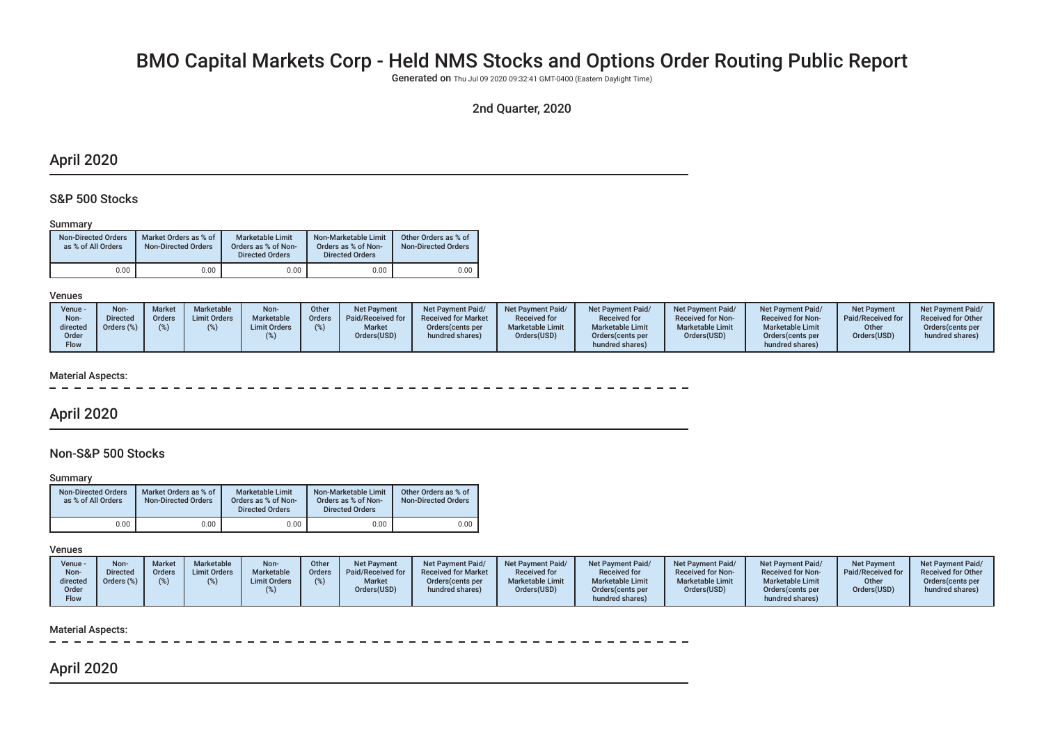# BMO Capital Markets Corp - Held NMS Stocks and Options Order Routing Public Report

Generated on Thu JuI 09 2020 09:32:41 GMT-0400 (Eastern DayIight Time)

## 2nd Quarter, 2020

## April 2020

### S&P 500 Stocks

### Summary

| <b>Non-Directed Orders</b><br>as % of All Orders | Market Orders as % of<br><b>Non-Directed Orders</b> | Marketable Limit<br>Orders as % of Non-<br><b>Directed Orders</b> | Non-Marketable Limit<br>Orders as % of Non-<br><b>Directed Orders</b> | Other Orders as % of<br><b>Non-Directed Orders</b> |
|--------------------------------------------------|-----------------------------------------------------|-------------------------------------------------------------------|-----------------------------------------------------------------------|----------------------------------------------------|
| 0.00                                             | 0.00                                                | 0.00                                                              | 0.00                                                                  | 0.00                                               |

#### Venues

| Venue -<br>Non-<br>directed<br>Order<br><b>Flow</b> | Non-<br><b>Directed</b><br>Orders (%) | <b>Market</b><br>Orders<br>(%) | Marketable<br><b>Limit Orders</b> | Non-<br>Marketable<br><b>Limit Orders</b> | Other<br>Orders I | <b>Net Payment</b><br>Paid/Received for<br><b>Market</b><br>Orders(USD) | Net Pavment Paid/<br><b>Received for Market</b><br>Orders (cents per<br>hundred shares) | Net Payment Paid/<br><b>Received for</b><br><b>Marketable Limit</b><br>Orders(USD) | <b>Net Payment Paid/</b><br><b>Received for</b><br><b>Marketable Limit</b><br>Orders (cents per<br>hundred shares) | Net Payment Paid/<br><b>Received for Non-</b><br><b>Marketable Limit</b><br>Orders(USD) | Net Payment Paid/<br><b>Received for Non-</b><br><b>Marketable Limit</b><br>Orders (cents per<br>hundred shares) | <b>Net Payment</b><br>Paid/Received for<br>Other<br>Orders(USD) | Net Payment Paid/<br><b>Received for Other</b><br>Orders (cents per<br>hundred shares) |
|-----------------------------------------------------|---------------------------------------|--------------------------------|-----------------------------------|-------------------------------------------|-------------------|-------------------------------------------------------------------------|-----------------------------------------------------------------------------------------|------------------------------------------------------------------------------------|--------------------------------------------------------------------------------------------------------------------|-----------------------------------------------------------------------------------------|------------------------------------------------------------------------------------------------------------------|-----------------------------------------------------------------|----------------------------------------------------------------------------------------|
|-----------------------------------------------------|---------------------------------------|--------------------------------|-----------------------------------|-------------------------------------------|-------------------|-------------------------------------------------------------------------|-----------------------------------------------------------------------------------------|------------------------------------------------------------------------------------|--------------------------------------------------------------------------------------------------------------------|-----------------------------------------------------------------------------------------|------------------------------------------------------------------------------------------------------------------|-----------------------------------------------------------------|----------------------------------------------------------------------------------------|

### Material Aspects:

## April 2020

## Non-S&P 500 Stocks

#### Summary

| <b>Non-Directed Orders</b><br>as % of All Orders | Market Orders as % of<br><b>Non-Directed Orders</b> | Marketable Limit<br>Orders as % of Non-<br><b>Directed Orders</b> | Non-Marketable Limit<br>Orders as % of Non-<br><b>Directed Orders</b> | Other Orders as % of<br><b>Non-Directed Orders</b> |
|--------------------------------------------------|-----------------------------------------------------|-------------------------------------------------------------------|-----------------------------------------------------------------------|----------------------------------------------------|
| 0.00                                             | 0.00                                                | 0.00                                                              | 0.00                                                                  | 0.00                                               |

### Venues

### Material Aspects:

# April 2020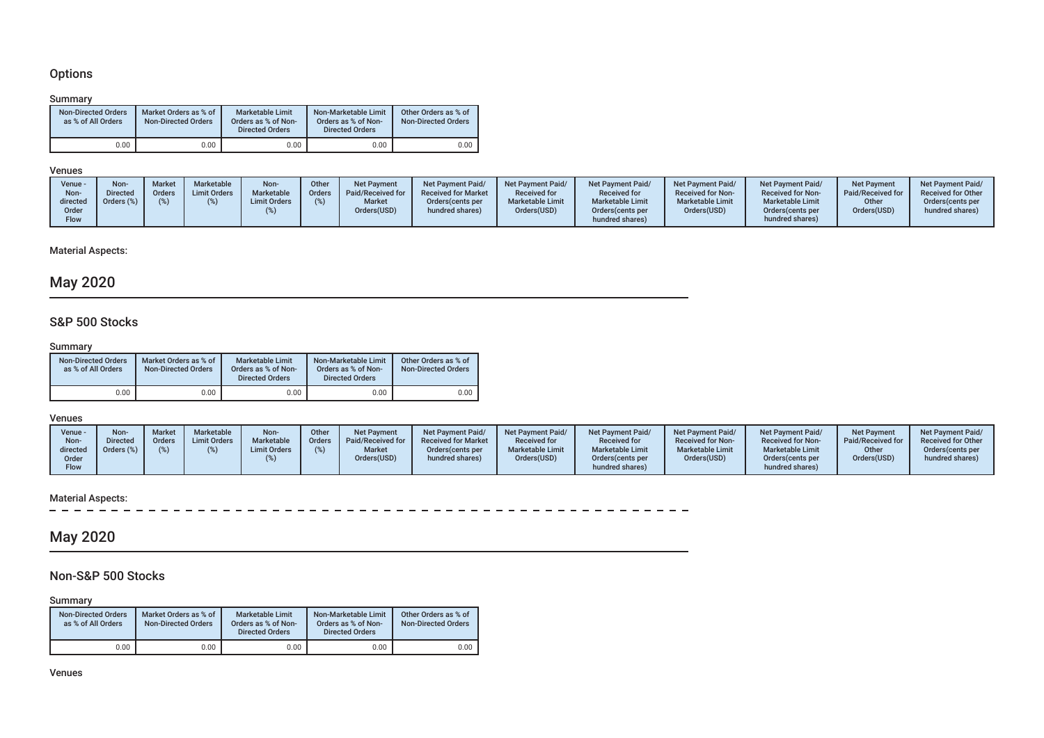## Options

### Summary

| <b>Non-Directed Orders</b><br>as % of All Orders | Market Orders as % of<br><b>Non-Directed Orders</b> | Marketable Limit<br>Orders as % of Non-<br><b>Directed Orders</b> | Non-Marketable Limit<br>Orders as % of Non-<br><b>Directed Orders</b> | Other Orders as % of<br><b>Non-Directed Orders</b> |
|--------------------------------------------------|-----------------------------------------------------|-------------------------------------------------------------------|-----------------------------------------------------------------------|----------------------------------------------------|
| 0.00                                             | 0.00                                                | 0.00                                                              | 0.00                                                                  | 0.00                                               |

### Venues

| Venue ·<br>Non-<br>directed<br>Order<br>Flow | Non<br>Directed<br>Orders (%) | Market<br>Orders | Marketable<br><b>Limit Orders</b> | Non-<br>Marketable<br><b>Limit Orders</b> | Other<br><b>Orders</b> | <b>Net Payment</b><br>Paid/Received for<br><b>Market</b><br>Orders(USD) | <b>Net Payment Paid/</b><br><b>Received for Market</b><br>Orders (cents per<br>hundred shares) | <b>Net Payment Paid/</b><br><b>Received for</b><br><b>Marketable Limit</b><br>Orders(USD) | <b>Net Payment Paid/</b><br><b>Received for</b><br><b>Marketable Limit</b><br>Orders (cents per<br>hundred shares) | <b>Net Payment Paid/</b><br><b>Received for Non-</b><br><b>Marketable Limit</b><br>Orders(USD) | Net Payment Paid/<br><b>Received for Non-</b><br><b>Marketable Limit</b><br>Orders (cents per<br>hundred shares) | Net Payment<br>Paid/Received for<br>Other<br>Orders(USD) | <b>Net Payment Paid/</b><br><b>Received for Other</b><br>Orders (cents per<br>hundred shares) |
|----------------------------------------------|-------------------------------|------------------|-----------------------------------|-------------------------------------------|------------------------|-------------------------------------------------------------------------|------------------------------------------------------------------------------------------------|-------------------------------------------------------------------------------------------|--------------------------------------------------------------------------------------------------------------------|------------------------------------------------------------------------------------------------|------------------------------------------------------------------------------------------------------------------|----------------------------------------------------------|-----------------------------------------------------------------------------------------------|
|----------------------------------------------|-------------------------------|------------------|-----------------------------------|-------------------------------------------|------------------------|-------------------------------------------------------------------------|------------------------------------------------------------------------------------------------|-------------------------------------------------------------------------------------------|--------------------------------------------------------------------------------------------------------------------|------------------------------------------------------------------------------------------------|------------------------------------------------------------------------------------------------------------------|----------------------------------------------------------|-----------------------------------------------------------------------------------------------|

## Material Aspects:

# May 2020

## S&P 500 Stocks

### Summary

| <b>Non-Directed Orders</b><br>as % of All Orders | Market Orders as % of<br><b>Non-Directed Orders</b> | Marketable Limit<br>Orders as % of Non-<br><b>Directed Orders</b> | Non-Marketable Limit<br>Orders as % of Non-<br><b>Directed Orders</b> | Other Orders as % of<br><b>Non-Directed Orders</b> |
|--------------------------------------------------|-----------------------------------------------------|-------------------------------------------------------------------|-----------------------------------------------------------------------|----------------------------------------------------|
| 0.00                                             | 0.00                                                | 0.00                                                              | 0.00                                                                  | 0.00                                               |

### Venues

| Venue -<br>Non-<br>directed<br>Order<br>Flow | Non-<br><b>Directed</b><br>Orders (%) | <b>Market</b><br>Orders | Marketable<br><b>Limit Orders</b> | Non-<br><b>Marketable</b><br><b>Limit Orders</b> | Other<br><b>Orders</b> | <b>Net Payment</b><br>Paid/Received for<br><b>Market</b><br>Orders(USD) | <b>Net Payment Paid/</b><br><b>Received for Market</b><br>Orders (cents per<br>hundred shares) | Net Payment Paid/<br><b>Received for</b><br><b>Marketable Limit</b><br>Orders(USD) | <b>Net Payment Paid/</b><br><b>Received for</b><br><b>Marketable Limit</b><br>Orders (cents per<br>hundred shares) | Net Payment Paid/<br><b>Received for Non-</b><br><b>Marketable Limit</b><br>Orders(USD) | Net Payment Paid/<br><b>Received for Non-</b><br><b>Marketable Limit</b><br>Orders (cents per<br>hundred shares) | <b>Net Payment</b><br>Paid/Received for<br>Other<br>Orders(USD) | Net Payment Paid/<br><b>Received for Other</b><br>Orders (cents per<br>hundred shares) |
|----------------------------------------------|---------------------------------------|-------------------------|-----------------------------------|--------------------------------------------------|------------------------|-------------------------------------------------------------------------|------------------------------------------------------------------------------------------------|------------------------------------------------------------------------------------|--------------------------------------------------------------------------------------------------------------------|-----------------------------------------------------------------------------------------|------------------------------------------------------------------------------------------------------------------|-----------------------------------------------------------------|----------------------------------------------------------------------------------------|
|----------------------------------------------|---------------------------------------|-------------------------|-----------------------------------|--------------------------------------------------|------------------------|-------------------------------------------------------------------------|------------------------------------------------------------------------------------------------|------------------------------------------------------------------------------------|--------------------------------------------------------------------------------------------------------------------|-----------------------------------------------------------------------------------------|------------------------------------------------------------------------------------------------------------------|-----------------------------------------------------------------|----------------------------------------------------------------------------------------|

# Material Aspects:<br> $= -$

in and

# May 2020

## Non-S&P 500 Stocks

Summary

| <b>Non-Directed Orders</b><br>as % of All Orders | Market Orders as % of<br><b>Non-Directed Orders</b> | Marketable Limit<br>Orders as % of Non-<br><b>Directed Orders</b> | Non-Marketable Limit<br>Orders as % of Non-<br><b>Directed Orders</b> | Other Orders as % of<br><b>Non-Directed Orders</b> |
|--------------------------------------------------|-----------------------------------------------------|-------------------------------------------------------------------|-----------------------------------------------------------------------|----------------------------------------------------|
| 0.00                                             | 0.00                                                | 0.00                                                              | 0.00                                                                  | 0.00                                               |

Venues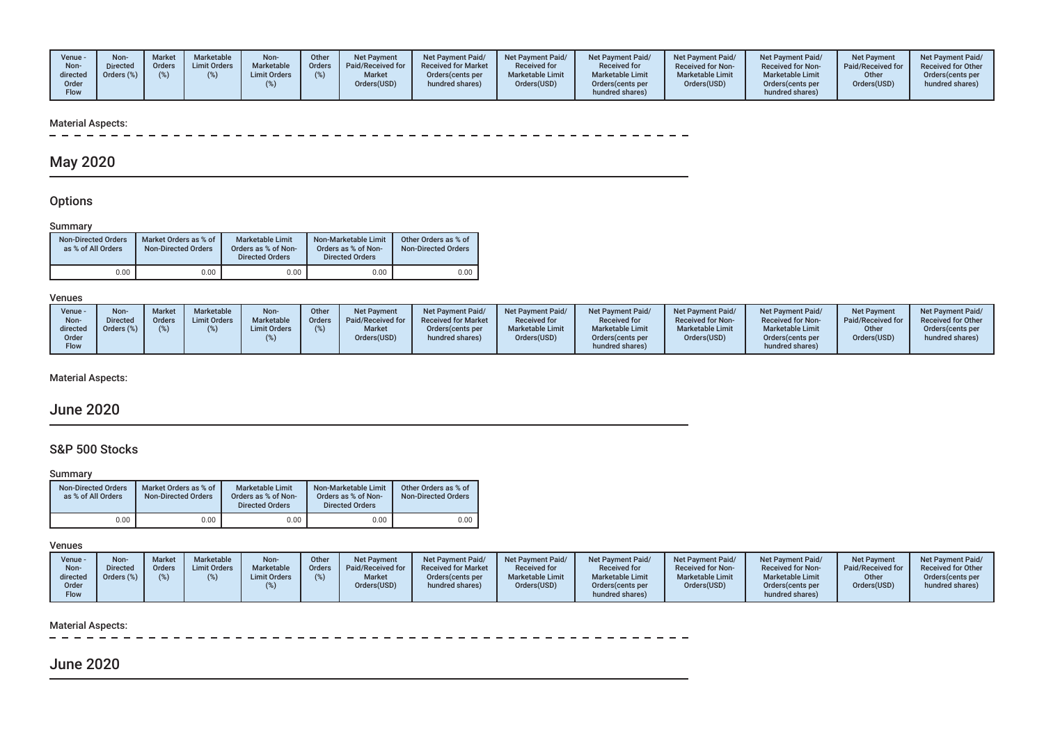| Venue -<br>Non-<br>directed<br>Order<br>Flow | Non-<br><b>Directed</b><br>Orders (%) | <b>Market</b><br>Orders<br>(9) | Marketable<br><b>Limit Orders</b> | Non-<br>Marketable<br><b>Limit Orders</b> | Other<br>Orders I | <b>Net Payment</b><br>Paid/Received for<br>Market<br>Orders(USD) | Net Pavment Paid/<br><b>Received for Market</b><br>Orders (cents per<br>hundred shares) | <b>Net Payment Paid/</b><br><b>Received for</b><br><b>Marketable Limit</b><br>Orders(USD) | <b>Net Payment Paid/</b><br><b>Received for</b><br><b>Marketable Limit</b><br>Orders (cents per<br>hundred shares) | <b>Net Payment Paid/</b><br><b>Received for Non-</b><br><b>Marketable Limit</b><br>Orders(USD) | Net Payment Paid/<br><b>Received for Non-</b><br><b>Marketable Limit</b><br>Orders(cents per<br>hundred shares) | <b>Net Payment</b><br>Paid/Received for<br>Other<br>Orders(USD) | Net Payment Paid/<br><b>Received for Other</b><br>Orders (cents per<br>hundred shares) |
|----------------------------------------------|---------------------------------------|--------------------------------|-----------------------------------|-------------------------------------------|-------------------|------------------------------------------------------------------|-----------------------------------------------------------------------------------------|-------------------------------------------------------------------------------------------|--------------------------------------------------------------------------------------------------------------------|------------------------------------------------------------------------------------------------|-----------------------------------------------------------------------------------------------------------------|-----------------------------------------------------------------|----------------------------------------------------------------------------------------|
|----------------------------------------------|---------------------------------------|--------------------------------|-----------------------------------|-------------------------------------------|-------------------|------------------------------------------------------------------|-----------------------------------------------------------------------------------------|-------------------------------------------------------------------------------------------|--------------------------------------------------------------------------------------------------------------------|------------------------------------------------------------------------------------------------|-----------------------------------------------------------------------------------------------------------------|-----------------------------------------------------------------|----------------------------------------------------------------------------------------|

# Material Aspects:<br> $- - - - - -$

# May 2020

## **Options**

### Summary

| <b>Non-Directed Orders</b><br>as % of All Orders | Market Orders as % of<br><b>Non-Directed Orders</b> | Marketable Limit<br>Orders as % of Non-<br><b>Directed Orders</b> | Non-Marketable Limit<br>Orders as % of Non-<br><b>Directed Orders</b> | Other Orders as % of<br><b>Non-Directed Orders</b> |
|--------------------------------------------------|-----------------------------------------------------|-------------------------------------------------------------------|-----------------------------------------------------------------------|----------------------------------------------------|
| 0.00                                             | 0.00                                                | 0.00                                                              | 0.00                                                                  | 0.00                                               |

### Venues

| Venue -<br>Non-<br>directed<br>Order<br>Flow | Non-<br><b>Market</b><br><b>Directed</b><br>Orders<br>Orders (%) | Marketable<br><b>Limit Orders</b> | Non-<br>Marketable<br><b>Limit Orders</b> | Other<br>Orders | <b>Net Payment</b><br>Paid/Received for<br><b>Market</b><br>Orders(USD) | Net Payment Paid/<br><b>Received for Market</b><br>Orders (cents per<br>hundred shares) | <b>Net Payment Paid/</b><br><b>Received for</b><br><b>Marketable Limit</b><br>Orders(USD) | <b>Net Payment Paid/</b><br><b>Received for</b><br><b>Marketable Limit</b><br>Orders (cents per<br>hundred shares) | Net Payment Paid/<br><b>Received for Non-</b><br><b>Marketable Limit</b><br>Orders(USD) | Net Payment Paid/<br><b>Received for Non-</b><br><b>Marketable Limit</b><br>Orders (cents per<br>hundred shares) | Net Payment<br>Paid/Received for<br>Other<br>Orders(USD) | <b>Net Payment Paid/</b><br><b>Received for Other</b><br>Orders(cents per<br>hundred shares) |
|----------------------------------------------|------------------------------------------------------------------|-----------------------------------|-------------------------------------------|-----------------|-------------------------------------------------------------------------|-----------------------------------------------------------------------------------------|-------------------------------------------------------------------------------------------|--------------------------------------------------------------------------------------------------------------------|-----------------------------------------------------------------------------------------|------------------------------------------------------------------------------------------------------------------|----------------------------------------------------------|----------------------------------------------------------------------------------------------|
|----------------------------------------------|------------------------------------------------------------------|-----------------------------------|-------------------------------------------|-----------------|-------------------------------------------------------------------------|-----------------------------------------------------------------------------------------|-------------------------------------------------------------------------------------------|--------------------------------------------------------------------------------------------------------------------|-----------------------------------------------------------------------------------------|------------------------------------------------------------------------------------------------------------------|----------------------------------------------------------|----------------------------------------------------------------------------------------------|

Material Aspects:

## June 2020

## S&P 500 Stocks

### **Summary**

| <b>Non-Directed Orders</b><br>as % of All Orders | Market Orders as % of<br><b>Non-Directed Orders</b> | Marketable Limit<br>Orders as % of Non-<br><b>Directed Orders</b> | Non-Marketable Limit<br>Orders as % of Non-<br><b>Directed Orders</b> | Other Orders as % of<br><b>Non-Directed Orders</b> |  |
|--------------------------------------------------|-----------------------------------------------------|-------------------------------------------------------------------|-----------------------------------------------------------------------|----------------------------------------------------|--|
| 0.00                                             | 0.00                                                | 0.00                                                              | 0.00                                                                  | 0.00                                               |  |

## Venues

| Venue -<br>Non-<br>directed<br>Order<br><b>Flow</b> | Non-<br><b>Directed</b><br>Orders (%) | <b>Market</b><br>Orders | Marketable<br><b>Limit Orders</b> | Non-<br>Marketable<br><b>Limit Orders</b> | Other<br><b>Orders</b> | <b>Net Payment</b><br>Paid/Received for<br><b>Market</b><br>Orders(USD) | <b>Net Payment Paid/</b><br><b>Received for Market</b><br>Orders (cents per<br>hundred shares) | <b>Net Payment Paid/</b><br><b>Received for</b><br><b>Marketable Limit</b><br>Orders(USD) | <b>Net Payment Paid/</b><br><b>Received for</b><br><b>Marketable Limit</b><br>Orders (cents per<br>hundred shares) | <b>Net Payment Paid/</b><br><b>Received for Non-</b><br><b>Marketable Limit</b><br>Orders(USD) | <b>Net Payment Paid/</b><br><b>Received for Non-</b><br><b>Marketable Limit</b><br>Orders(cents per<br>hundred shares) | <b>Net Payment</b><br>Paid/Received for<br>Other<br>Orders(USD) | Net Payment Paid/<br><b>Received for Other</b><br>Orders (cents per<br>hundred shares) |
|-----------------------------------------------------|---------------------------------------|-------------------------|-----------------------------------|-------------------------------------------|------------------------|-------------------------------------------------------------------------|------------------------------------------------------------------------------------------------|-------------------------------------------------------------------------------------------|--------------------------------------------------------------------------------------------------------------------|------------------------------------------------------------------------------------------------|------------------------------------------------------------------------------------------------------------------------|-----------------------------------------------------------------|----------------------------------------------------------------------------------------|
|-----------------------------------------------------|---------------------------------------|-------------------------|-----------------------------------|-------------------------------------------|------------------------|-------------------------------------------------------------------------|------------------------------------------------------------------------------------------------|-------------------------------------------------------------------------------------------|--------------------------------------------------------------------------------------------------------------------|------------------------------------------------------------------------------------------------|------------------------------------------------------------------------------------------------------------------------|-----------------------------------------------------------------|----------------------------------------------------------------------------------------|

### Material Aspects:

 $\sim$  $\sim$   $\sim$  $\sim$   $\sim$  $\sim$  $\sim$  $\sim$  $\sim$  $\sim$ -----------

# June 2020